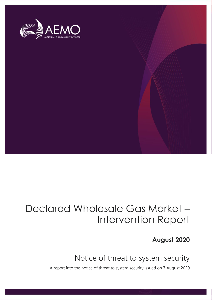

## Declared Wholesale Gas Market – Intervention Report

### **August 2020**

## Notice of threat to system security

A report into the notice of threat to system security issued on 7 August 2020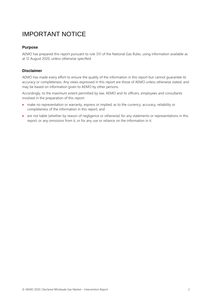## IMPORTANT NOTICE

#### **Purpose**

AEMO has prepared this report pursuant to rule 351 of the National Gas Rules, using information available as at 12 August 2020, unless otherwise specified.

#### **Disclaimer**

AEMO has made every effort to ensure the quality of the information in this report but cannot guarantee its accuracy or completeness. Any views expressed in this report are those of AEMO unless otherwise stated, and may be based on information given to AEMO by other persons.

Accordingly, to the maximum extent permitted by law, AEMO and its officers, employees and consultants involved in the preparation of this report:

- make no representation or warranty, express or implied, as to the currency, accuracy, reliability or completeness of the information in this report; and
- are not liable (whether by reason of negligence or otherwise) for any statements or representations in this report, or any omissions from it, or for any use or reliance on the information in it.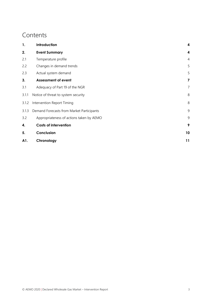### **Contents**

| 1.    | Introduction                              | 4              |
|-------|-------------------------------------------|----------------|
| 2.    | <b>Event Summary</b>                      | 4              |
| 2.1   | Temperature profile                       | $\overline{4}$ |
| 2.2   | Changes in demand trends                  | 5              |
| 2.3   | Actual system demand                      | 5              |
| 3.    | <b>Assessment of event</b>                | 7              |
| 3.1   | Adequacy of Part 19 of the NGR            | $\overline{7}$ |
| 3.1.1 | Notice of threat to system security       | 8              |
| 3.1.2 | 8<br>Intervention Report Timing           |                |
| 3.1.3 | Demand Forecasts from Market Participants | 9              |
| 3.2   | Appropriateness of actions taken by AEMO  | 9              |
| 4.    | <b>Costs of intervention</b>              | 9              |
| 5.    | Conclusion                                | 10             |
| A1.   | Chronology                                | 11             |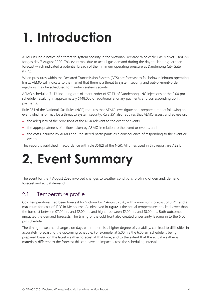# <span id="page-3-0"></span>**1. Introduction**

AEMO issued a notice of a threat to system security in the Victorian Declared Wholesale Gas Market (DWGM) for gas day 7 August 2020. This event was due to actual gas demand during the day tracking higher than forecast which indicated a potential breach of the minimum operating pressure at Dandenong City Gate (DCG).

When pressures within the Declared Transmission System (DTS) are forecast to fall below minimum operating limits, AEMO will indicate to the market that there is a threat to system security and out-of-merit-order injections may be scheduled to maintain system security.

AEMO scheduled 71 TJ, including out-of-merit-order of 57 TJ, of Dandenong LNG injections at the 2.00 pm schedule, resulting in approximately \$148,000 of additional ancillary payments and corresponding uplift payments.

Rule 351 of the National Gas Rules (NGR) requires that AEMO investigate and prepare a report following an event which is or may be a threat to system security. Rule 351 also requires that AEMO assess and advise on:

- the adequacy of the provisions of the NGR relevant to the event or events;
- the appropriateness of actions taken by AEMO in relation to the event or events; and
- the costs incurred by AEMO and Registered participants as a consequence of responding to the event or events.

This report is published in accordance with rule 351(2) of the NGR. All times used in this report are AEST.

# <span id="page-3-1"></span>**2. Event Summary**

The event for the 7 August 2020 involved changes to weather conditions, profiling of demand, demand forecast and actual demand.

#### <span id="page-3-2"></span>2.1 Temperature profile

Cold temperatures had been forecast for Victoria for 7 August 2020, with a minimum forecast of 3.2°C and a maximum forecast of 12°C in Melbourne. As observed in **[Figure 1](#page-4-2)** the actual temperatures tracked lower than the forecast between 07.00 hrs and 12.00 hrs and higher between 12.00 hrs and 18.00 hrs. Both outcomes impacted the demand forecasts. The timing of the cold front also created uncertainty leading in to the 6.00 pm schedule.

The timing of weather changes, on days where there is a higher degree of variability, can lead to difficulties in accurately forecasting the upcoming schedule. For example, at 5.00 hrs the 6.00 am schedule is being prepared based on the latest weather forecast at that time, and to the extent that the actual weather is materially different to the forecast this can have an impact across the scheduling interval.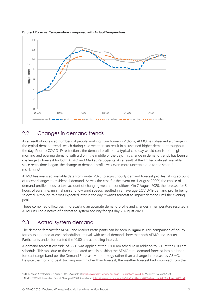

<span id="page-4-2"></span>**Figure 1 Forecast Temperature compared with Actual Temperature**

### <span id="page-4-0"></span>2.2 Changes in demand trends

As a result of increased numbers of people working from home in Victoria, AEMO has observed a change in the typical demand trends which during cold weather can result in a sustained higher demand throughout the day. Prior to COVID-19 restrictions, the demand profile on a typical cold day would consist of a high morning and evening demand with a dip in the middle of the day. This change in demand trends has been a challenge to forecast for both AEMO and Market Participants. As a result of the limited data set available since restrictions began, the change to demand profile was even more uncertain due to the stage 4 restrictions<sup>1</sup>.

AEMO has analysed available data from winter 2020 to adjust hourly demand forecast profiles taking account of recent changes to residential demand. As was the case for the event on 4 August 2020<sup>2</sup>, the choice of demand profile needs to take account of changing weather conditions. On 7 August 2020, the forecast for 3 hours of sunshine, minimal rain and low wind speeds resulted in an average COVID-19 demand profile being selected. Although rain was expected later in the day it wasn't forecast to impact demand until the evening peak.

These combined difficulties in forecasting an accurate demand profile and changes in temperature resulted in AEMO issuing a notice of a threat to system security for gas day 7 August 2020.

### <span id="page-4-1"></span>2.3 Actual system demand

The demand forecast for AEMO and Market Participants can be seen in **[Figure](#page-5-0) 2**. This comparison of hourly forecasts, updated at each scheduling interval, with actual demand show that both AEMO and Market Participants under-forecasted the 10.00 am scheduling interval.

A demand forecast override of 36 TJ was applied at the 10.00 am schedule in addition to 6 TJ at the 6.00 am schedule. This was due to the extrapolated actuals pushing the AEMO total demand forecast into a higher forecast range band per the Demand Forecast Methodology rather than a change in forecast by AEMO. Despite the morning peak tracking much higher than forecast, the weather forecast had improved from the

<sup>1</sup> DHHS. Stage 4 restrictions, 2 August 2020. Available at [https://www.dhhs.vic.gov.au/stage-4-restrictions-covid-19.](https://www.dhhs.vic.gov.au/stage-4-restrictions-covid-19) Viewed: 17 August 2020.

<sup>&</sup>lt;sup>2</sup> AEMO. DWGM Intervention Report, 18 August 2020. Available a[t https://aemo.com.au/-/media/files/gas/dwgm/2020/dwgm-er-20-005-4-aug-2020.pdf](https://aemo.com.au/-/media/files/gas/dwgm/2020/dwgm-er-20-005-4-aug-2020.pdf)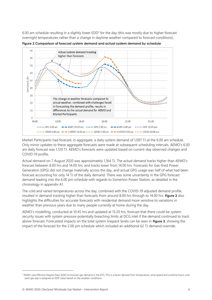6.00 am schedule resulting in a slightly lower EDD<sup>3</sup> for the day (this was mostly due to higher forecast overnight temperatures rather than a change in daytime weather compared to forecast conditions).



<span id="page-5-0"></span>**Figure 2 Comparison of forecast system demand and actual system demand by schedule**

Market Participants had forecast, in aggregate, a daily system demand of 1,097 TJ at the 6.00 am schedule. Only minor updates to these aggregate forecasts were made at subsequent scheduling intervals. AEMO's 6.00 am daily forecast was 1,120 TJ. AEMO's forecasts were updated based on current-day observed changes and COVID-19 profile.

Actual demand on 7 August 2020 was approximately 1,164 TJ. The actual demand tracks higher than AEMO's forecast between 8.00 hrs and 14.00 hrs, and tracks lower from 14.00 hrs. Forecasts for Gas-fired Power Generation (GPG) did not change materially across the day, and actual GPG usage was half of what had been forecast accounting for only 14 TJ of the daily demand. There was some uncertainty in the GPG forecast demand leading into the 6.00 pm schedule with regards to Somerton Power Station, as detailed in the chronology in appendix [A1.](#page-10-0)

The cold and varied temperatures across the day, combined with the COVID-19 adjusted demand profile, resulted in demand tracking higher than forecasts from around 8.00 hrs through to 14.00 hrs. **[Figure](#page-5-0) 2** also highlights the difficulties for accurate forecasts with residential demand more sensitive to variations in weather than previous years due to many people currently at home during the day.

AEMO's modelling, conducted at 10.45 hrs and updated at 13.20 hrs, forecast that there could be system security issues with system pressure potentially breaching limits at DCG inlet if the demand continued to track above forecast. Forecasted impacts on the total system linepack levels can be seen in **[Figure 3](#page-6-2)**, showing the impact of the forecast for the 2.00 pm schedule which included an additional 62 TJ demand override.

<sup>&</sup>lt;sup>3</sup> AEMO uses Effective Degree Days (EDD) to forecast gas demand in the DTS. This is a factor derived from temperature, wind speed and sunshine hours, and each gas day is assigned an EDD value based on the weather conditions.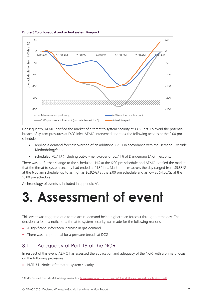<span id="page-6-2"></span>**Figure 3 Total forecast and actual system linepack**



Consequently, AEMO notified the market of a threat to system security at 13.53 hrs. To avoid the potential breach of system pressures at DCG inlet, AEMO intervened and took the following actions at the 2.00 pm schedule:

- applied a demand forecast override of an additional 62 TJ in accordance with the Demand Override Methodology<sup>4</sup>; and
- scheduled 70.7 TJ (including out-of-merit-order of 56.7 TJ) of Dandenong LNG injections.

There was no further change to the scheduled LNG at the 6.00 pm schedule and AEMO notified the market that the threat to system security had ended at 21.30 hrs. Market prices across the day ranged from \$5.83/GJ at the 6.00 am schedule, up to as high as \$6.92/GJ at the 2.00 pm schedule and as low as \$4.50/GJ at the 10.00 pm schedule.

A chronology of events is included in appendix [A1.](#page-10-0)

# <span id="page-6-0"></span>**3. Assessment of event**

This event was triggered due to the actual demand being higher than forecast throughout the day. The decision to issue a notice of a threat to system security was made for the following reasons:

- A significant unforeseen increase in gas demand
- There was the potential for a pressure breach at DCG

### <span id="page-6-1"></span>3.1 Adequacy of Part 19 of the NGR

In respect of this event, AEMO has assessed the application and adequacy of the NGR, with a primary focus on the following provisions:

• NGR 341 Notice of threat to system security

<sup>4</sup> AEMO. Demand Override Methodology. Available at<https://www.aemo.com.au/-/media/files/pdf/demand-override-methodology.pdf>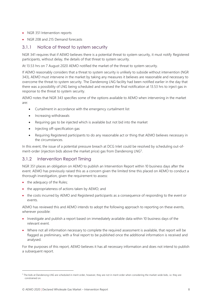- NGR 351 Intervention reports
- NGR 208 and 215 Demand forecasts

#### <span id="page-7-0"></span>3.1.1 Notice of threat to system security

NGR 341 requires that if AEMO believes there is a potential threat to system security, it must notify Registered participants, without delay, the details of that threat to system security.

At 13.53 hrs on 7 August 2020 AEMO notified the market of the threat to system security.

If AEMO reasonably considers that a threat to system security is unlikely to subside without intervention (NGR 343), AEMO must intervene in the market by taking any measures it believes are reasonable and necessary to overcome the threat to system security. The Dandenong LNG facility had been notified earlier in the day that there was a possibility of LNG being scheduled and received the final notification at 13.53 hrs to inject gas in response to the threat to system security.

AEMO notes that NGR 343 specifies some of the options available to AEMO when intervening in the market are:

- Curtailment in accordance with the emergency curtailment list
- Increasing withdrawals
- Requiring gas to be injected which is available but not bid into the market
- Injecting off-specification gas
- Requiring Registered participants to do any reasonable act or thing that AEMO believes necessary in the circumstances.

In this event, the issue of a potential pressure breach at DCG Inlet could be resolved by scheduling out-ofmerit-order (injection bids above the market price) gas from Dandenong LNG<sup>5</sup>.

#### <span id="page-7-1"></span>3.1.2 Intervention Report Timing

NGR 351 places an obligation on AEMO to publish an Intervention Report within 10 business days after the event. AEMO has previously raised this as a concern given the limited time this placed on AEMO to conduct a thorough investigation, given the requirement to assess:

- the adequacy of the Rules;
- the appropriateness of actions taken by AEMO; and
- the costs incurred by AEMO and Registered participants as a consequence of responding to the event or events.

AEMO has reviewed this and AEMO intends to adopt the following approach to reporting on these events, wherever possible:

- Investigate and publish a report based on immediately available data within 10 business days of the relevant event.
- Where not all information necessary to complete the required assessment is available, that report will be flagged as preliminary, with a final report to be published once the additional information is received and analysed.

For the purposes of this report, AEMO believes it has all necessary information and does not intend to publish a subsequent report.

<sup>5</sup> The bids at Dandenong LNG are scheduled in merit order, however, they are not in merit order when considering the market-wide bids, i.e. they are constrained on.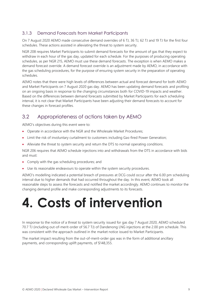#### <span id="page-8-0"></span>3.1.3 Demand Forecasts from Market Participants

On 7 August 2020 AEMO made consecutive demand overrides of 6 TJ, 36 TJ, 62 TJ and 19 TJ for the first four schedules. These actions assisted in alleviating the threat to system security.

NGR 208 requires Market Participants to submit demand forecasts for the amount of gas that they expect to withdraw in each hour of the gas day, updated for each schedule. For the purposes of producing operating schedules, as per NGR 215, AEMO must use these demand forecasts. The exception is when AEMO makes a demand forecast override. A demand forecast override is an adjustment made by AEMO, in accordance with the gas scheduling procedures, for the purpose of ensuring system security in the preparation of operating schedules.

AEMO notes that there were high levels of differences between actual and forecast demand for both AEMO and Market Participants on 7 August 2020 gas day. AEMO has been updating demand forecasts and profiling on an ongoing basis in response to the changing circumstances both for COVID-19 impacts and weather. Based on the differences between demand forecasts submitted by Market Participants for each scheduling interval, it is not clear that Market Participants have been adjusting their demand forecasts to account for these changes in forecast profiles.

### <span id="page-8-1"></span>3.2 Appropriateness of actions taken by AEMO

AEMO's objectives during this event were to:

- Operate in accordance with the NGR and the Wholesale Market Procedures;
- Limit the risk of involuntary curtailment to customers including Gas-fired Power Generation;
- Alleviate the threat to system security and return the DTS to normal operating conditions.

NGR 206 requires that AEMO schedule injections into and withdrawals from the DTS in accordance with bids and must:

- Comply with the gas scheduling procedures; and
- Use its reasonable endeavours to operate within the system security procedures.

AEMO's modelling indicated a potential breach of pressures at DCG could occur after the 6.00 pm scheduling interval due to higher demands that had occurred throughout the day. In this event, AEMO took all reasonable steps to assess the forecasts and notified the market accordingly. AEMO continues to monitor the changing demand profile and make corresponding adjustments to its forecasts.

# <span id="page-8-2"></span>**4. Costs of intervention**

In response to the notice of a threat to system security issued for gas day 7 August 2020, AEMO scheduled 70.7 TJ (including out-of-merit-order of 56.7 TJ) of Dandenong LNG injections at the 2.00 pm schedule. This was consistent with the approach outlined in the market notice issued to Market Participants.

The market impact resulting from the out-of-merit-order gas was in the form of additional ancillary payments, and corresponding uplift payments, of \$148,355.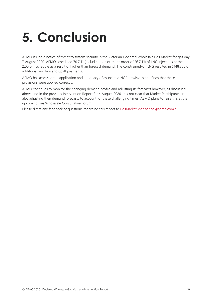# <span id="page-9-0"></span>**5. Conclusion**

AEMO issued a notice of threat to system security in the Victorian Declared Wholesale Gas Market for gas day 7 August 2020. AEMO scheduled 70.7 TJ (including out-of-merit-order of 56.7 TJ) of LNG injections at the 2.00 pm schedule as a result of higher than forecast demand. The constrained-on LNG resulted in \$148,355 of additional ancillary and uplift payments.

AEMO has assessed the application and adequacy of associated NGR provisions and finds that these provisions were applied correctly.

AEMO continues to monitor the changing demand profile and adjusting its forecasts however, as discussed above and in the previous Intervention Report for 4 August 2020, it is not clear that Market Participants are also adjusting their demand forecasts to account for these challenging times. AEMO plans to raise this at the upcoming Gas Wholesale Consultative Forum.

Please direct any feedback or questions regarding this report to [GasMarket.Monitoring@aemo.com.au.](mailto:GasMarket.Monitoring@aemo.com.au)